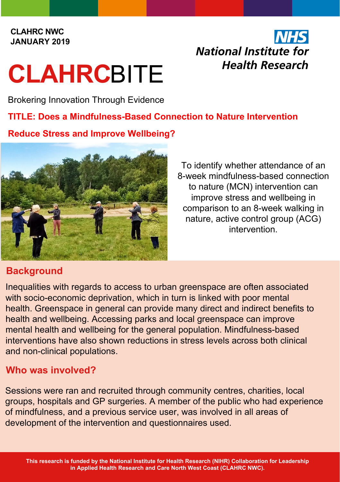#### **CLAHRC NWC JANUARY 2019**

# **CLAHRC**BITE

Brokering Innovation Through Evidence

# **TITLE: Does a Mindfulness-Based Connection to Nature Intervention**

### **Reduce Stress and Improve Wellbeing?**



To identify whether attendance of an 8-week mindfulness-based connection to nature (MCN) intervention can improve stress and wellbeing in comparison to an 8-week walking in nature, active control group (ACG) intervention.

**National Institute for** 

**Health Research** 

# **Background**

Inequalities with regards to access to urban greenspace are often associated with socio-economic deprivation, which in turn is linked with poor mental health. Greenspace in general can provide many direct and indirect benefits to health and wellbeing. Accessing parks and local greenspace can improve mental health and wellbeing for the general population. Mindfulness-based interventions have also shown reductions in stress levels across both clinical and non-clinical populations.

# **Who was involved?**

Sessions were ran and recruited through community centres, charities, local groups, hospitals and GP surgeries. A member of the public who had experience of mindfulness, and a previous service user, was involved in all areas of development of the intervention and questionnaires used.